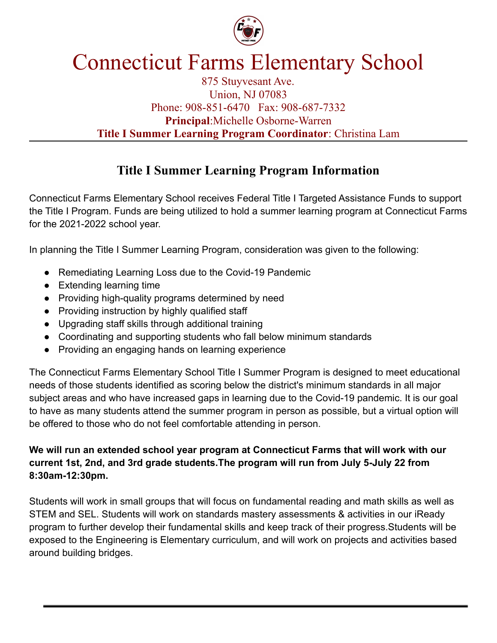

# Connecticut Farms Elementary School

### 875 Stuyvesant Ave. Union, NJ 07083 Phone: 908-851-6470 Fax: 908-687-7332 **Principal**:Michelle Osborne-Warren **Title I Summer Learning Program Coordinator**: Christina Lam

## **Title I Summer Learning Program Information**

Connecticut Farms Elementary School receives Federal Title I Targeted Assistance Funds to support the Title I Program. Funds are being utilized to hold a summer learning program at Connecticut Farms for the 2021-2022 school year.

In planning the Title I Summer Learning Program, consideration was given to the following:

- Remediating Learning Loss due to the Covid-19 Pandemic
- Extending learning time
- Providing high-quality programs determined by need
- Providing instruction by highly qualified staff
- Upgrading staff skills through additional training
- Coordinating and supporting students who fall below minimum standards
- Providing an engaging hands on learning experience

The Connecticut Farms Elementary School Title I Summer Program is designed to meet educational needs of those students identified as scoring below the district's minimum standards in all major subject areas and who have increased gaps in learning due to the Covid-19 pandemic. It is our goal to have as many students attend the summer program in person as possible, but a virtual option will be offered to those who do not feel comfortable attending in person.

#### **We will run an extended school year program at Connecticut Farms that will work with our current 1st, 2nd, and 3rd grade students.The program will run from July 5-July 22 from 8:30am-12:30pm.**

Students will work in small groups that will focus on fundamental reading and math skills as well as STEM and SEL. Students will work on standards mastery assessments & activities in our iReady program to further develop their fundamental skills and keep track of their progress.Students will be exposed to the Engineering is Elementary curriculum, and will work on projects and activities based around building bridges.